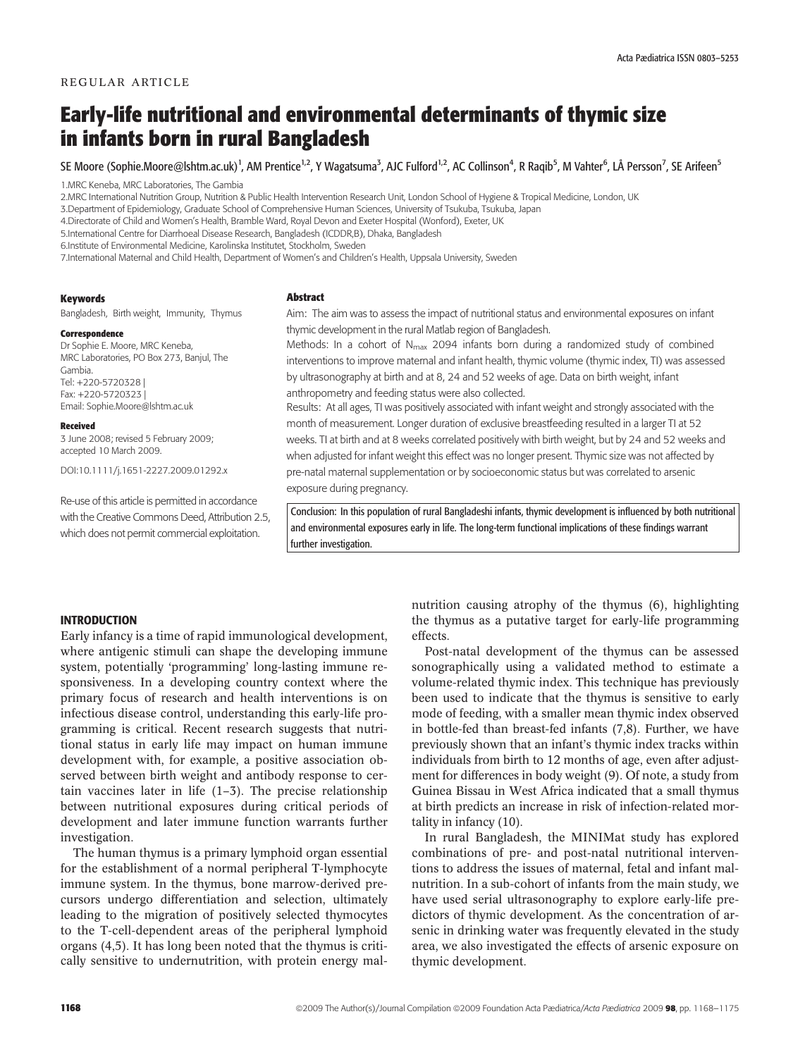# Early-life nutritional and environmental determinants of thymic size in infants born in rural Bangladesh

SE Moore (Sophie.Moore@lshtm.ac.uk)<sup>1</sup>, AM Prentice<sup>1,2</sup>, Y Wagatsuma<sup>3</sup>, AJC Fulford<sup>1,2</sup>, AC Collinson<sup>4</sup>, R Raqib<sup>5</sup>, M Vahter<sup>6</sup>, LÅ Persson<sup>7</sup>, SE Arifeen<sup>5</sup>

1.MRC Keneba, MRC Laboratories, The Gambia

2.MRC International Nutrition Group, Nutrition & Public Health Intervention Research Unit, London School of Hygiene & Tropical Medicine, London, UK

- 3.Department of Epidemiology, Graduate School of Comprehensive Human Sciences, University of Tsukuba, Tsukuba, Japan
- 4.Directorate of Child and Women's Health, Bramble Ward, Royal Devon and Exeter Hospital (Wonford), Exeter, UK

5.International Centre for Diarrhoeal Disease Research, Bangladesh (ICDDR,B), Dhaka, Bangladesh

6.Institute of Environmental Medicine, Karolinska Institutet, Stockholm, Sweden

7.International Maternal and Child Health, Department of Women's and Children's Health, Uppsala University, Sweden

### Keywords

Bangladesh, Birth weight, Immunity, Thymus

#### Correspondence

Dr Sophie E. Moore, MRC Keneba, MRC Laboratories, PO Box 273, Banjul, The Gambia. Tel: +220-5720328 | Fax: +220-5720323 Email: Sophie.Moore@lshtm.ac.uk

#### Received

3 June 2008; revised 5 February 2009; accepted 10 March 2009.

DOI:10.1111/j.1651-2227.2009.01292.x

Re-use of this article is permitted in accordance with the Creative Commons Deed, Attribution 2.5, which does not permit commercial exploitation.

### **Abstract**

Aim: The aim was to assess the impact of nutritional status and environmental exposures on infant thymic development in the rural Matlab region of Bangladesh.

Methods: In a cohort of N<sub>max</sub> 2094 infants born during a randomized study of combined interventions to improve maternal and infant health, thymic volume (thymic index, TI) was assessed by ultrasonography at birth and at 8, 24 and 52 weeks of age. Data on birth weight, infant anthropometry and feeding status were also collected.

Results: At all ages, TI was positively associated with infant weight and strongly associated with the month of measurement. Longer duration of exclusive breastfeeding resulted in a larger TI at 52 weeks. TI at birth and at 8 weeks correlated positively with birth weight, but by 24 and 52 weeks and when adjusted for infant weight this effect was no longer present. Thymic size was not affected by pre-natal maternal supplementation or by socioeconomic status but was correlated to arsenic exposure during pregnancy.

Conclusion: In this population of rural Bangladeshi infants, thymic development is influenced by both nutritional and environmental exposures early in life. The long-term functional implications of these findings warrant further investigation.

## INTRODUCTION

Early infancy is a time of rapid immunological development, where antigenic stimuli can shape the developing immune system, potentially 'programming' long-lasting immune responsiveness. In a developing country context where the primary focus of research and health interventions is on infectious disease control, understanding this early-life programming is critical. Recent research suggests that nutritional status in early life may impact on human immune development with, for example, a positive association observed between birth weight and antibody response to certain vaccines later in life (1–3). The precise relationship between nutritional exposures during critical periods of development and later immune function warrants further investigation.

The human thymus is a primary lymphoid organ essential for the establishment of a normal peripheral T-lymphocyte immune system. In the thymus, bone marrow-derived precursors undergo differentiation and selection, ultimately leading to the migration of positively selected thymocytes to the T-cell-dependent areas of the peripheral lymphoid organs (4,5). It has long been noted that the thymus is critically sensitive to undernutrition, with protein energy malnutrition causing atrophy of the thymus (6), highlighting the thymus as a putative target for early-life programming effects.

Post-natal development of the thymus can be assessed sonographically using a validated method to estimate a volume-related thymic index. This technique has previously been used to indicate that the thymus is sensitive to early mode of feeding, with a smaller mean thymic index observed in bottle-fed than breast-fed infants (7,8). Further, we have previously shown that an infant's thymic index tracks within individuals from birth to 12 months of age, even after adjustment for differences in body weight (9). Of note, a study from Guinea Bissau in West Africa indicated that a small thymus at birth predicts an increase in risk of infection-related mortality in infancy (10).

In rural Bangladesh, the MINIMat study has explored combinations of pre- and post-natal nutritional interventions to address the issues of maternal, fetal and infant malnutrition. In a sub-cohort of infants from the main study, we have used serial ultrasonography to explore early-life predictors of thymic development. As the concentration of arsenic in drinking water was frequently elevated in the study area, we also investigated the effects of arsenic exposure on thymic development.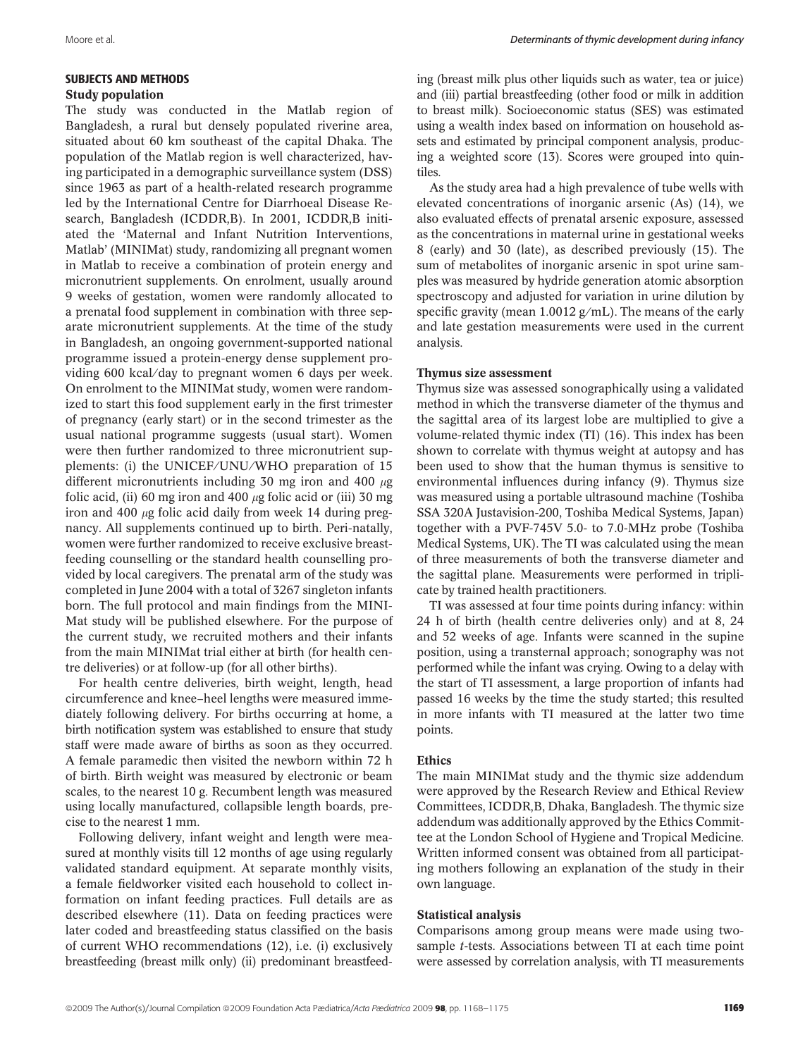# SUBJECTS AND METHODS

## Study population

The study was conducted in the Matlab region of Bangladesh, a rural but densely populated riverine area, situated about 60 km southeast of the capital Dhaka. The population of the Matlab region is well characterized, having participated in a demographic surveillance system (DSS) since 1963 as part of a health-related research programme led by the International Centre for Diarrhoeal Disease Research, Bangladesh (ICDDR,B). In 2001, ICDDR,B initiated the 'Maternal and Infant Nutrition Interventions, Matlab' (MINIMat) study, randomizing all pregnant women in Matlab to receive a combination of protein energy and micronutrient supplements. On enrolment, usually around 9 weeks of gestation, women were randomly allocated to a prenatal food supplement in combination with three separate micronutrient supplements. At the time of the study in Bangladesh, an ongoing government-supported national programme issued a protein-energy dense supplement providing 600 kcal/day to pregnant women 6 days per week. On enrolment to the MINIMat study, women were randomized to start this food supplement early in the first trimester of pregnancy (early start) or in the second trimester as the usual national programme suggests (usual start). Women were then further randomized to three micronutrient supplements: (i) the UNICEF/UNU/WHO preparation of 15 different micronutrients including 30 mg iron and 400  $\mu$ g folic acid, (ii) 60 mg iron and 400  $\mu$ g folic acid or (iii) 30 mg iron and 400  $\mu$ g folic acid daily from week 14 during pregnancy. All supplements continued up to birth. Peri-natally, women were further randomized to receive exclusive breastfeeding counselling or the standard health counselling provided by local caregivers. The prenatal arm of the study was completed in June 2004 with a total of 3267 singleton infants born. The full protocol and main findings from the MINI-Mat study will be published elsewhere. For the purpose of the current study, we recruited mothers and their infants from the main MINIMat trial either at birth (for health centre deliveries) or at follow-up (for all other births).

For health centre deliveries, birth weight, length, head circumference and knee–heel lengths were measured immediately following delivery. For births occurring at home, a birth notification system was established to ensure that study staff were made aware of births as soon as they occurred. A female paramedic then visited the newborn within 72 h of birth. Birth weight was measured by electronic or beam scales, to the nearest 10 g. Recumbent length was measured using locally manufactured, collapsible length boards, precise to the nearest 1 mm.

Following delivery, infant weight and length were measured at monthly visits till 12 months of age using regularly validated standard equipment. At separate monthly visits, a female fieldworker visited each household to collect information on infant feeding practices. Full details are as described elsewhere (11). Data on feeding practices were later coded and breastfeeding status classified on the basis of current WHO recommendations (12), i.e. (i) exclusively breastfeeding (breast milk only) (ii) predominant breastfeeding (breast milk plus other liquids such as water, tea or juice) and (iii) partial breastfeeding (other food or milk in addition to breast milk). Socioeconomic status (SES) was estimated using a wealth index based on information on household assets and estimated by principal component analysis, producing a weighted score (13). Scores were grouped into quintiles.

As the study area had a high prevalence of tube wells with elevated concentrations of inorganic arsenic (As) (14), we also evaluated effects of prenatal arsenic exposure, assessed as the concentrations in maternal urine in gestational weeks 8 (early) and 30 (late), as described previously (15). The sum of metabolites of inorganic arsenic in spot urine samples was measured by hydride generation atomic absorption spectroscopy and adjusted for variation in urine dilution by specific gravity (mean  $1.0012$  g/mL). The means of the early and late gestation measurements were used in the current analysis.

# Thymus size assessment

Thymus size was assessed sonographically using a validated method in which the transverse diameter of the thymus and the sagittal area of its largest lobe are multiplied to give a volume-related thymic index (TI) (16). This index has been shown to correlate with thymus weight at autopsy and has been used to show that the human thymus is sensitive to environmental influences during infancy (9). Thymus size was measured using a portable ultrasound machine (Toshiba SSA 320A Justavision-200, Toshiba Medical Systems, Japan) together with a PVF-745V 5.0- to 7.0-MHz probe (Toshiba Medical Systems, UK). The TI was calculated using the mean of three measurements of both the transverse diameter and the sagittal plane. Measurements were performed in triplicate by trained health practitioners.

TI was assessed at four time points during infancy: within 24 h of birth (health centre deliveries only) and at 8, 24 and 52 weeks of age. Infants were scanned in the supine position, using a transternal approach; sonography was not performed while the infant was crying. Owing to a delay with the start of TI assessment, a large proportion of infants had passed 16 weeks by the time the study started; this resulted in more infants with TI measured at the latter two time points.

# Ethics

The main MINIMat study and the thymic size addendum were approved by the Research Review and Ethical Review Committees, ICDDR,B, Dhaka, Bangladesh. The thymic size addendum was additionally approved by the Ethics Committee at the London School of Hygiene and Tropical Medicine. Written informed consent was obtained from all participating mothers following an explanation of the study in their own language.

# Statistical analysis

Comparisons among group means were made using twosample *t*-tests. Associations between TI at each time point were assessed by correlation analysis, with TI measurements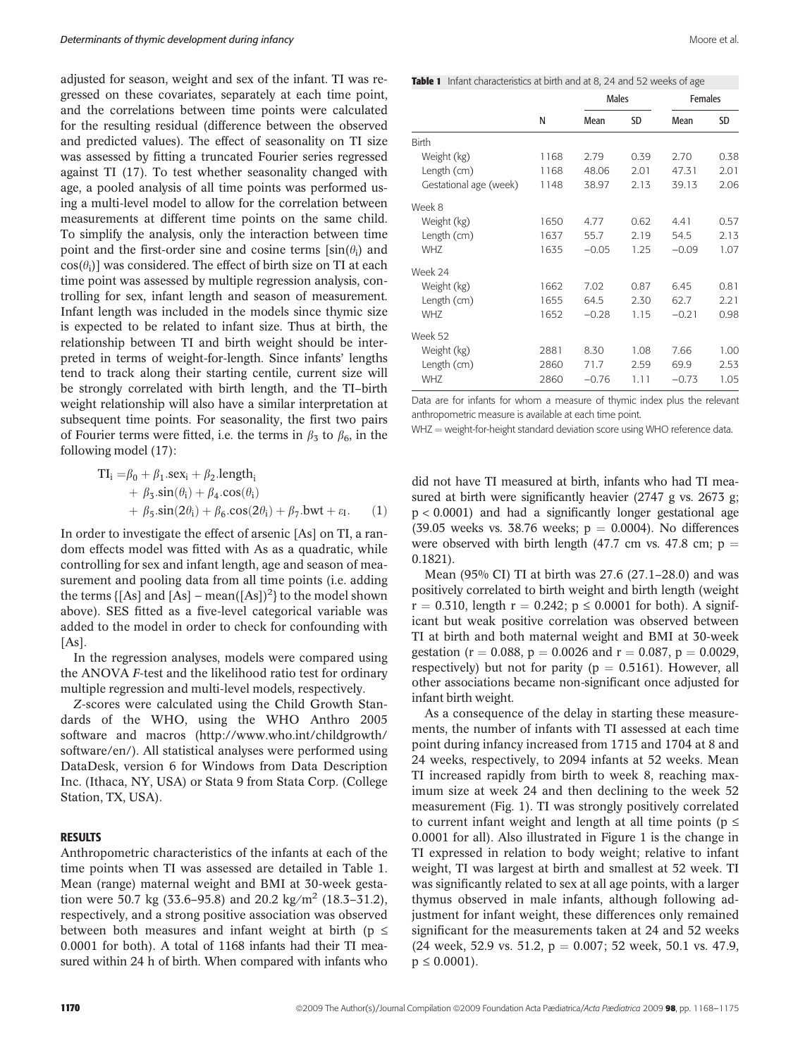adjusted for season, weight and sex of the infant. TI was regressed on these covariates, separately at each time point, and the correlations between time points were calculated for the resulting residual (difference between the observed and predicted values). The effect of seasonality on TI size was assessed by fitting a truncated Fourier series regressed against TI (17). To test whether seasonality changed with age, a pooled analysis of all time points was performed using a multi-level model to allow for the correlation between measurements at different time points on the same child. To simplify the analysis, only the interaction between time point and the first-order sine and cosine terms  $[\sin(\theta_i)]$  and  $cos(\theta_i)$ ] was considered. The effect of birth size on TI at each time point was assessed by multiple regression analysis, controlling for sex, infant length and season of measurement. Infant length was included in the models since thymic size is expected to be related to infant size. Thus at birth, the relationship between TI and birth weight should be interpreted in terms of weight-for-length. Since infants' lengths tend to track along their starting centile, current size will be strongly correlated with birth length, and the TI–birth weight relationship will also have a similar interpretation at subsequent time points. For seasonality, the first two pairs of Fourier terms were fitted, i.e. the terms in  $\beta_5$  to  $\beta_6$ , in the following model (17):

$$
TIi = \beta0 + \beta1.sexi + \beta2.lengthi+ \beta3.sin(\thetai) + \beta4.cos(\thetai)+ \beta5.sin(2\thetai) + \beta6.cos(2\thetai) + \beta7.bwt + \varepsilonI.
$$
 (1)

In order to investigate the effect of arsenic [As] on TI, a random effects model was fitted with As as a quadratic, while controlling for sex and infant length, age and season of measurement and pooling data from all time points (i.e. adding the terms {[As] and [As] – mean([As])<sup>2</sup>} to the model shown above). SES fitted as a five-level categorical variable was added to the model in order to check for confounding with  $[As]$ .

In the regression analyses, models were compared using the ANOVA F-test and the likelihood ratio test for ordinary multiple regression and multi-level models, respectively.

Z-scores were calculated using the Child Growth Standards of the WHO, using the WHO Anthro 2005 software and macros (http://www.who.int/childgrowth/ software/en/). All statistical analyses were performed using DataDesk, version 6 for Windows from Data Description Inc. (Ithaca, NY, USA) or Stata 9 from Stata Corp. (College Station, TX, USA).

#### RESULTS

Anthropometric characteristics of the infants at each of the time points when TI was assessed are detailed in Table 1. Mean (range) maternal weight and BMI at 30-week gestation were 50.7 kg (33.6–95.8) and 20.2 kg/m<sup>2</sup> (18.3–31.2), respectively, and a strong positive association was observed between both measures and infant weight at birth ( $p \le$ 0.0001 for both). A total of 1168 infants had their TI measured within 24 h of birth. When compared with infants who

|  | Table 1 Infant characteristics at birth and at 8, 24 and 52 weeks of age |
|--|--------------------------------------------------------------------------|
|--|--------------------------------------------------------------------------|

|                        |      | <b>Males</b> |           | <b>Females</b> |      |
|------------------------|------|--------------|-----------|----------------|------|
|                        | Ν    | Mean         | <b>SD</b> | Mean           | SD   |
| Birth                  |      |              |           |                |      |
| Weight (kg)            | 1168 | 2.79         | 0.39      | 2.70           | 0.38 |
| Length (cm)            | 1168 | 48.06        | 2.01      | 47.31          | 2.01 |
| Gestational age (week) | 1148 | 38.97        | 2.13      | 39.13          | 2.06 |
| Week 8                 |      |              |           |                |      |
| Weight (kg)            | 1650 | 4.77         | 0.62      | 4.41           | 0.57 |
| Length (cm)            | 1637 | 55.7         | 2.19      | 54.5           | 2.13 |
| <b>WHZ</b>             | 1635 | $-0.05$      | 1.25      | $-0.09$        | 1.07 |
| Week 24                |      |              |           |                |      |
| Weight (kg)            | 1662 | 7.02         | 0.87      | 6.45           | 0.81 |
| Length (cm)            | 1655 | 64.5         | 2.30      | 62.7           | 2.21 |
| <b>WHZ</b>             | 1652 | $-0.28$      | 1.15      | $-0.21$        | 0.98 |
| Week 52                |      |              |           |                |      |
| Weight (kg)            | 2881 | 8.30         | 1.08      | 7.66           | 1.00 |
| Length (cm)            | 2860 | 71.7         | 2.59      | 69.9           | 2.53 |
| <b>WHZ</b>             | 2860 | $-0.76$      | 1.11      | $-0.73$        | 1.05 |

Data are for infants for whom a measure of thymic index plus the relevant anthropometric measure is available at each time point.

 $WHZ = weight-for-height standard deviation score using WHO reference data.$ 

did not have TI measured at birth, infants who had TI measured at birth were significantly heavier (2747 g vs. 2673 g;  $p < 0.0001$ ) and had a significantly longer gestational age (39.05 weeks vs. 38.76 weeks;  $p = 0.0004$ ). No differences were observed with birth length (47.7 cm vs. 47.8 cm;  $p =$ 0.1821).

Mean (95% CI) TI at birth was 27.6 (27.1–28.0) and was positively correlated to birth weight and birth length (weight  $r = 0.310$ , length  $r = 0.242$ ;  $p \le 0.0001$  for both). A significant but weak positive correlation was observed between TI at birth and both maternal weight and BMI at 30-week gestation ( $r = 0.088$ ,  $p = 0.0026$  and  $r = 0.087$ ,  $p = 0.0029$ , respectively) but not for parity ( $p = 0.5161$ ). However, all other associations became non-significant once adjusted for infant birth weight.

As a consequence of the delay in starting these measurements, the number of infants with TI assessed at each time point during infancy increased from 1715 and 1704 at 8 and 24 weeks, respectively, to 2094 infants at 52 weeks. Mean TI increased rapidly from birth to week 8, reaching maximum size at week 24 and then declining to the week 52 measurement (Fig. 1). TI was strongly positively correlated to current infant weight and length at all time points ( $p \leq$ 0.0001 for all). Also illustrated in Figure 1 is the change in TI expressed in relation to body weight; relative to infant weight, TI was largest at birth and smallest at 52 week. TI was significantly related to sex at all age points, with a larger thymus observed in male infants, although following adjustment for infant weight, these differences only remained significant for the measurements taken at 24 and 52 weeks  $(24 \text{ week}, 52.9 \text{ vs. } 51.2, p = 0.007; 52 \text{ week}, 50.1 \text{ vs. } 47.9,$  $p \leq 0.0001$ ).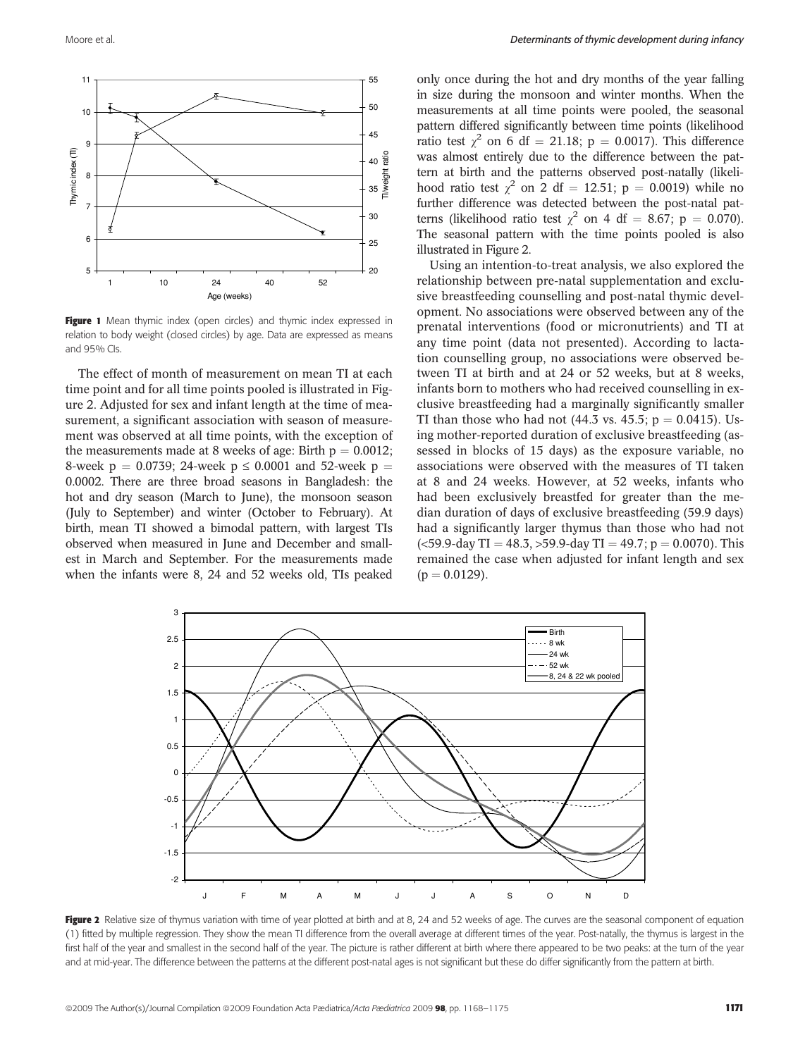

Figure 1 Mean thymic index (open circles) and thymic index expressed in relation to body weight (closed circles) by age. Data are expressed as means and 95% CIs.

The effect of month of measurement on mean TI at each time point and for all time points pooled is illustrated in Figure 2. Adjusted for sex and infant length at the time of measurement, a significant association with season of measurement was observed at all time points, with the exception of the measurements made at 8 weeks of age: Birth  $p = 0.0012$ ; 8-week p = 0.0739; 24-week p  $\leq$  0.0001 and 52-week p = 0.0002. There are three broad seasons in Bangladesh: the hot and dry season (March to June), the monsoon season (July to September) and winter (October to February). At birth, mean TI showed a bimodal pattern, with largest TIs observed when measured in June and December and smallest in March and September. For the measurements made when the infants were 8, 24 and 52 weeks old, TIs peaked only once during the hot and dry months of the year falling in size during the monsoon and winter months. When the measurements at all time points were pooled, the seasonal pattern differed significantly between time points (likelihood ratio test  $\chi^2$  on 6 df = 21.18; p = 0.0017). This difference was almost entirely due to the difference between the pattern at birth and the patterns observed post-natally (likelihood ratio test  $\chi^2$  on 2 df = 12.51; p = 0.0019) while no further difference was detected between the post-natal patterns (likelihood ratio test  $\chi^2$  on 4 df = 8.67; p = 0.070). The seasonal pattern with the time points pooled is also illustrated in Figure 2.

Using an intention-to-treat analysis, we also explored the relationship between pre-natal supplementation and exclusive breastfeeding counselling and post-natal thymic development. No associations were observed between any of the prenatal interventions (food or micronutrients) and TI at any time point (data not presented). According to lactation counselling group, no associations were observed between TI at birth and at 24 or 52 weeks, but at 8 weeks, infants born to mothers who had received counselling in exclusive breastfeeding had a marginally significantly smaller TI than those who had not (44.3 vs. 45.5;  $p = 0.0415$ ). Using mother-reported duration of exclusive breastfeeding (assessed in blocks of 15 days) as the exposure variable, no associations were observed with the measures of TI taken at 8 and 24 weeks. However, at 52 weeks, infants who had been exclusively breastfed for greater than the median duration of days of exclusive breastfeeding (59.9 days) had a significantly larger thymus than those who had not  $(**59.9**-day TI = 48.3, >**59.9**-day TI = 49.7; p = 0.0070). This$ remained the case when adjusted for infant length and sex  $(p = 0.0129)$ .



Figure 2 Relative size of thymus variation with time of year plotted at birth and at 8, 24 and 52 weeks of age. The curves are the seasonal component of equation (1) fitted by multiple regression. They show the mean TI difference from the overall average at different times of the year. Post-natally, the thymus is largest in the first half of the year and smallest in the second half of the year. The picture is rather different at birth where there appeared to be two peaks: at the turn of the year and at mid-year. The difference between the patterns at the different post-natal ages is not significant but these do differ significantly from the pattern at birth.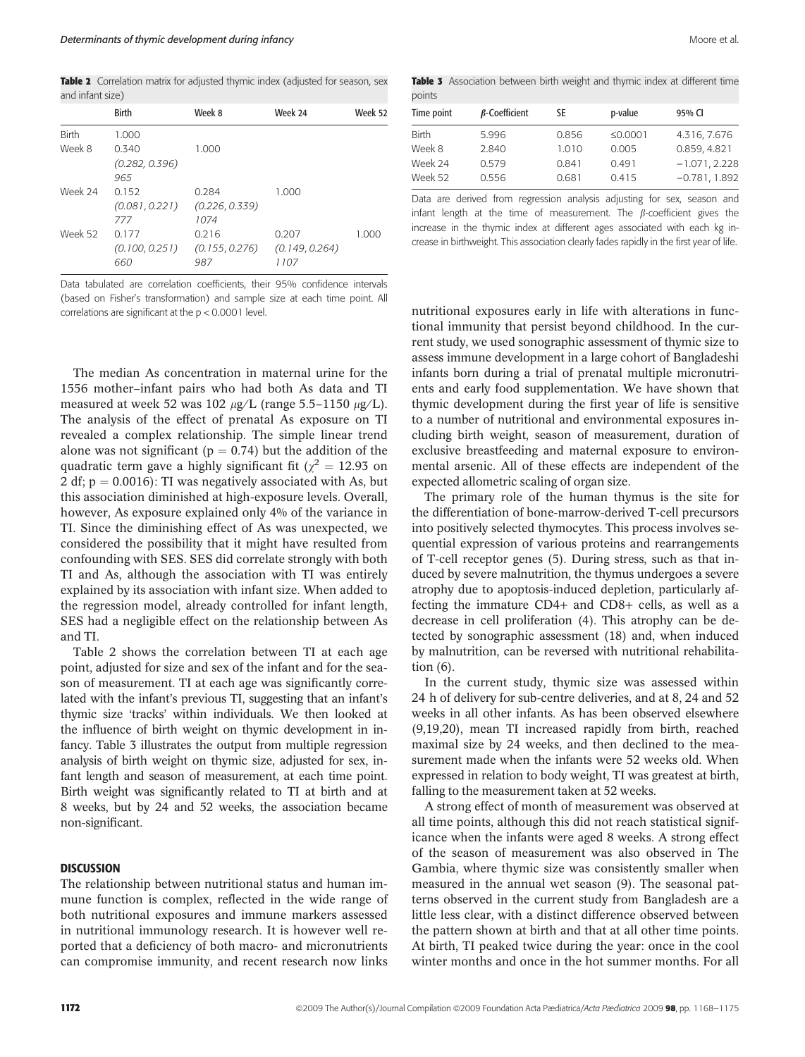**Table 2** Correlation matrix for adjusted thymic index (adjusted for season, sex and infant size)

| Week 52 |
|---------|
|         |
|         |
|         |
|         |
|         |
|         |
|         |
| 1.000   |
|         |
|         |
|         |

Data tabulated are correlation coefficients, their 95% confidence intervals (based on Fisher's transformation) and sample size at each time point. All correlations are significant at the p < 0.0001 level.

The median As concentration in maternal urine for the 1556 mother–infant pairs who had both As data and TI measured at week 52 was 102  $\mu$ g/L (range 5.5–1150  $\mu$ g/L). The analysis of the effect of prenatal As exposure on TI revealed a complex relationship. The simple linear trend alone was not significant ( $p = 0.74$ ) but the addition of the quadratic term gave a highly significant fit ( $\chi^2 = 12.93$  on 2 df;  $p = 0.0016$ ): TI was negatively associated with As, but this association diminished at high-exposure levels. Overall, however, As exposure explained only 4% of the variance in TI. Since the diminishing effect of As was unexpected, we considered the possibility that it might have resulted from confounding with SES. SES did correlate strongly with both TI and As, although the association with TI was entirely explained by its association with infant size. When added to the regression model, already controlled for infant length, SES had a negligible effect on the relationship between As and TI.

Table 2 shows the correlation between TI at each age point, adjusted for size and sex of the infant and for the season of measurement. TI at each age was significantly correlated with the infant's previous TI, suggesting that an infant's thymic size 'tracks' within individuals. We then looked at the influence of birth weight on thymic development in infancy. Table 3 illustrates the output from multiple regression analysis of birth weight on thymic size, adjusted for sex, infant length and season of measurement, at each time point. Birth weight was significantly related to TI at birth and at 8 weeks, but by 24 and 52 weeks, the association became non-significant.

## **DISCUSSION**

The relationship between nutritional status and human immune function is complex, reflected in the wide range of both nutritional exposures and immune markers assessed in nutritional immunology research. It is however well reported that a deficiency of both macro- and micronutrients can compromise immunity, and recent research now links

Table 3 Association between birth weight and thymic index at different time points

| $P$ $\sim$ $\sim$ |                      |       |         |                 |  |  |  |  |
|-------------------|----------------------|-------|---------|-----------------|--|--|--|--|
| Time point        | $\beta$ -Coefficient | SE    | p-value | 95% CI          |  |  |  |  |
| <b>Birth</b>      | 5.996                | 0.856 | ≤0.0001 | 4.316, 7.676    |  |  |  |  |
| Week 8            | 2.840                | 1.010 | 0.005   | 0.859, 4.821    |  |  |  |  |
| Week 24           | 0.579                | 0.841 | 0.491   | $-1.071.2228$   |  |  |  |  |
| Week 52           | 0.556                | 0.681 | 0.415   | $-0.781, 1.892$ |  |  |  |  |

Data are derived from regression analysis adjusting for sex, season and infant length at the time of measurement. The  $\beta$ -coefficient gives the increase in the thymic index at different ages associated with each kg increase in birthweight. This association clearly fades rapidly in the first year of life.

nutritional exposures early in life with alterations in functional immunity that persist beyond childhood. In the current study, we used sonographic assessment of thymic size to assess immune development in a large cohort of Bangladeshi infants born during a trial of prenatal multiple micronutrients and early food supplementation. We have shown that thymic development during the first year of life is sensitive to a number of nutritional and environmental exposures including birth weight, season of measurement, duration of exclusive breastfeeding and maternal exposure to environmental arsenic. All of these effects are independent of the expected allometric scaling of organ size.

The primary role of the human thymus is the site for the differentiation of bone-marrow-derived T-cell precursors into positively selected thymocytes. This process involves sequential expression of various proteins and rearrangements of T-cell receptor genes (5). During stress, such as that induced by severe malnutrition, the thymus undergoes a severe atrophy due to apoptosis-induced depletion, particularly affecting the immature CD4+ and CD8+ cells, as well as a decrease in cell proliferation (4). This atrophy can be detected by sonographic assessment (18) and, when induced by malnutrition, can be reversed with nutritional rehabilitation (6).

In the current study, thymic size was assessed within 24 h of delivery for sub-centre deliveries, and at 8, 24 and 52 weeks in all other infants. As has been observed elsewhere (9,19,20), mean TI increased rapidly from birth, reached maximal size by 24 weeks, and then declined to the measurement made when the infants were 52 weeks old. When expressed in relation to body weight, TI was greatest at birth, falling to the measurement taken at 52 weeks.

A strong effect of month of measurement was observed at all time points, although this did not reach statistical significance when the infants were aged 8 weeks. A strong effect of the season of measurement was also observed in The Gambia, where thymic size was consistently smaller when measured in the annual wet season (9). The seasonal patterns observed in the current study from Bangladesh are a little less clear, with a distinct difference observed between the pattern shown at birth and that at all other time points. At birth, TI peaked twice during the year: once in the cool winter months and once in the hot summer months. For all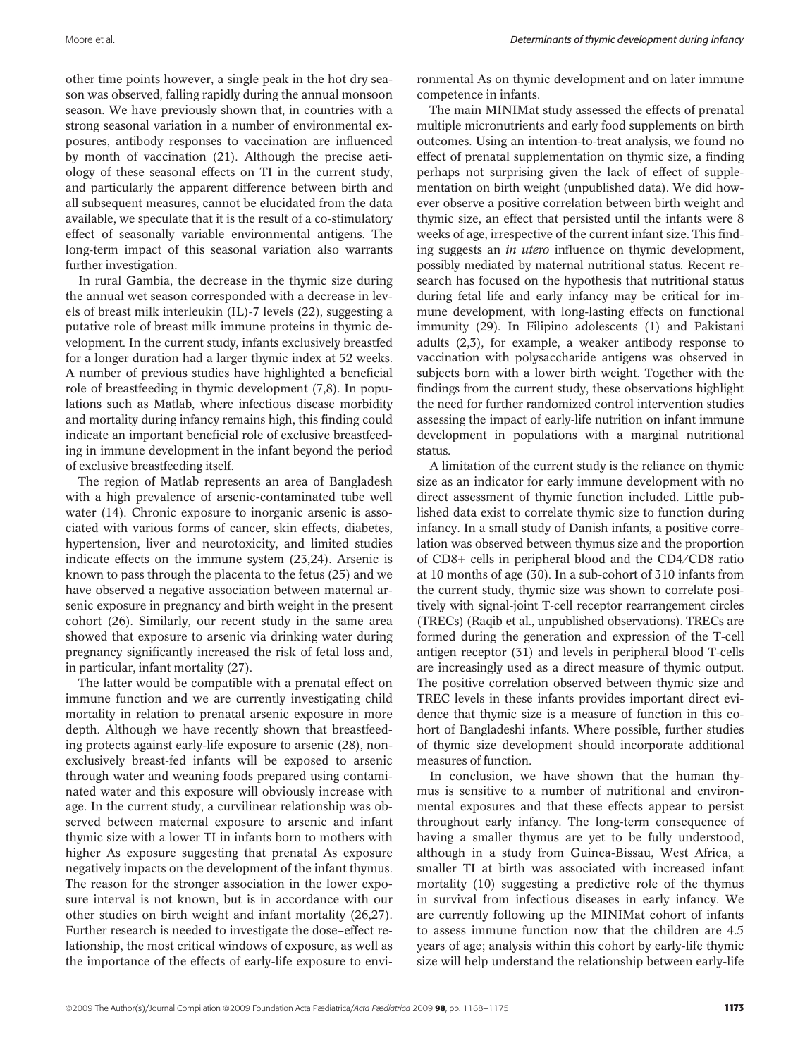other time points however, a single peak in the hot dry season was observed, falling rapidly during the annual monsoon season. We have previously shown that, in countries with a strong seasonal variation in a number of environmental exposures, antibody responses to vaccination are influenced by month of vaccination (21). Although the precise aetiology of these seasonal effects on TI in the current study, and particularly the apparent difference between birth and all subsequent measures, cannot be elucidated from the data available, we speculate that it is the result of a co-stimulatory effect of seasonally variable environmental antigens. The long-term impact of this seasonal variation also warrants further investigation.

In rural Gambia, the decrease in the thymic size during the annual wet season corresponded with a decrease in levels of breast milk interleukin (IL)-7 levels (22), suggesting a putative role of breast milk immune proteins in thymic development. In the current study, infants exclusively breastfed for a longer duration had a larger thymic index at 52 weeks. A number of previous studies have highlighted a beneficial role of breastfeeding in thymic development (7,8). In populations such as Matlab, where infectious disease morbidity and mortality during infancy remains high, this finding could indicate an important beneficial role of exclusive breastfeeding in immune development in the infant beyond the period of exclusive breastfeeding itself.

The region of Matlab represents an area of Bangladesh with a high prevalence of arsenic-contaminated tube well water (14). Chronic exposure to inorganic arsenic is associated with various forms of cancer, skin effects, diabetes, hypertension, liver and neurotoxicity, and limited studies indicate effects on the immune system (23,24). Arsenic is known to pass through the placenta to the fetus (25) and we have observed a negative association between maternal arsenic exposure in pregnancy and birth weight in the present cohort (26). Similarly, our recent study in the same area showed that exposure to arsenic via drinking water during pregnancy significantly increased the risk of fetal loss and, in particular, infant mortality (27).

The latter would be compatible with a prenatal effect on immune function and we are currently investigating child mortality in relation to prenatal arsenic exposure in more depth. Although we have recently shown that breastfeeding protects against early-life exposure to arsenic (28), nonexclusively breast-fed infants will be exposed to arsenic through water and weaning foods prepared using contaminated water and this exposure will obviously increase with age. In the current study, a curvilinear relationship was observed between maternal exposure to arsenic and infant thymic size with a lower TI in infants born to mothers with higher As exposure suggesting that prenatal As exposure negatively impacts on the development of the infant thymus. The reason for the stronger association in the lower exposure interval is not known, but is in accordance with our other studies on birth weight and infant mortality (26,27). Further research is needed to investigate the dose–effect relationship, the most critical windows of exposure, as well as the importance of the effects of early-life exposure to environmental As on thymic development and on later immune competence in infants.

The main MINIMat study assessed the effects of prenatal multiple micronutrients and early food supplements on birth outcomes. Using an intention-to-treat analysis, we found no effect of prenatal supplementation on thymic size, a finding perhaps not surprising given the lack of effect of supplementation on birth weight (unpublished data). We did however observe a positive correlation between birth weight and thymic size, an effect that persisted until the infants were 8 weeks of age, irrespective of the current infant size. This finding suggests an in utero influence on thymic development, possibly mediated by maternal nutritional status. Recent research has focused on the hypothesis that nutritional status during fetal life and early infancy may be critical for immune development, with long-lasting effects on functional immunity (29). In Filipino adolescents (1) and Pakistani adults (2,3), for example, a weaker antibody response to vaccination with polysaccharide antigens was observed in subjects born with a lower birth weight. Together with the findings from the current study, these observations highlight the need for further randomized control intervention studies assessing the impact of early-life nutrition on infant immune development in populations with a marginal nutritional status.

A limitation of the current study is the reliance on thymic size as an indicator for early immune development with no direct assessment of thymic function included. Little published data exist to correlate thymic size to function during infancy. In a small study of Danish infants, a positive correlation was observed between thymus size and the proportion of CD8+ cells in peripheral blood and the CD4/CD8 ratio at 10 months of age (30). In a sub-cohort of 310 infants from the current study, thymic size was shown to correlate positively with signal-joint T-cell receptor rearrangement circles (TRECs) (Raqib et al., unpublished observations). TRECs are formed during the generation and expression of the T-cell antigen receptor (31) and levels in peripheral blood T-cells are increasingly used as a direct measure of thymic output. The positive correlation observed between thymic size and TREC levels in these infants provides important direct evidence that thymic size is a measure of function in this cohort of Bangladeshi infants. Where possible, further studies of thymic size development should incorporate additional measures of function.

In conclusion, we have shown that the human thymus is sensitive to a number of nutritional and environmental exposures and that these effects appear to persist throughout early infancy. The long-term consequence of having a smaller thymus are yet to be fully understood, although in a study from Guinea-Bissau, West Africa, a smaller TI at birth was associated with increased infant mortality (10) suggesting a predictive role of the thymus in survival from infectious diseases in early infancy. We are currently following up the MINIMat cohort of infants to assess immune function now that the children are 4.5 years of age; analysis within this cohort by early-life thymic size will help understand the relationship between early-life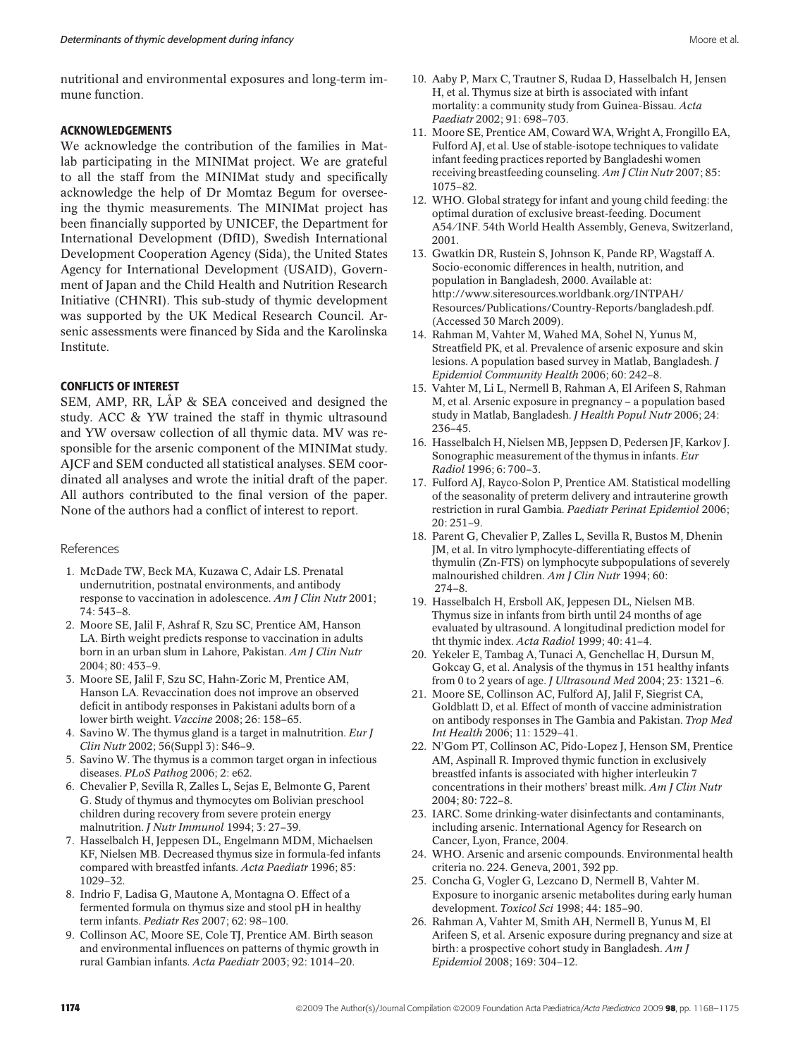nutritional and environmental exposures and long-term immune function.

## ACKNOWLEDGEMENTS

We acknowledge the contribution of the families in Matlab participating in the MINIMat project. We are grateful to all the staff from the MINIMat study and specifically acknowledge the help of Dr Momtaz Begum for overseeing the thymic measurements. The MINIMat project has been financially supported by UNICEF, the Department for International Development (DfID), Swedish International Development Cooperation Agency (Sida), the United States Agency for International Development (USAID), Government of Japan and the Child Health and Nutrition Research Initiative (CHNRI). This sub-study of thymic development was supported by the UK Medical Research Council. Arsenic assessments were financed by Sida and the Karolinska Institute.

# CONFLICTS OF INTEREST

SEM, AMP, RR, LAP & SEA conceived and designed the study. ACC & YW trained the staff in thymic ultrasound and YW oversaw collection of all thymic data. MV was responsible for the arsenic component of the MINIMat study. AJCF and SEM conducted all statistical analyses. SEM coordinated all analyses and wrote the initial draft of the paper. All authors contributed to the final version of the paper. None of the authors had a conflict of interest to report.

## References

- 1. McDade TW, Beck MA, Kuzawa C, Adair LS. Prenatal undernutrition, postnatal environments, and antibody response to vaccination in adolescence. Am J Clin Nutr 2001; 74: 543–8.
- 2. Moore SE, Jalil F, Ashraf R, Szu SC, Prentice AM, Hanson LA. Birth weight predicts response to vaccination in adults born in an urban slum in Lahore, Pakistan. Am J Clin Nutr 2004; 80: 453–9.
- 3. Moore SE, Jalil F, Szu SC, Hahn-Zoric M, Prentice AM, Hanson LA. Revaccination does not improve an observed deficit in antibody responses in Pakistani adults born of a lower birth weight. Vaccine 2008; 26: 158–65.
- 4. Savino W. The thymus gland is a target in malnutrition. Eur J Clin Nutr 2002; 56(Suppl 3): S46–9.
- 5. Savino W. The thymus is a common target organ in infectious diseases. PLoS Pathog 2006; 2: e62.
- 6. Chevalier P, Sevilla R, Zalles L, Sejas E, Belmonte G, Parent G. Study of thymus and thymocytes om Bolivian preschool children during recovery from severe protein energy malnutrition. J Nutr Immunol 1994; 3: 27–39.
- 7. Hasselbalch H, Jeppesen DL, Engelmann MDM, Michaelsen KF, Nielsen MB. Decreased thymus size in formula-fed infants compared with breastfed infants. Acta Paediatr 1996; 85: 1029–32.
- 8. Indrio F, Ladisa G, Mautone A, Montagna O. Effect of a fermented formula on thymus size and stool pH in healthy term infants. Pediatr Res 2007; 62: 98–100.
- 9. Collinson AC, Moore SE, Cole TJ, Prentice AM. Birth season and environmental influences on patterns of thymic growth in rural Gambian infants. Acta Paediatr 2003; 92: 1014–20.
- 10. Aaby P, Marx C, Trautner S, Rudaa D, Hasselbalch H, Jensen H, et al. Thymus size at birth is associated with infant mortality: a community study from Guinea-Bissau. Acta Paediatr 2002; 91: 698–703.
- 11. Moore SE, Prentice AM, Coward WA, Wright A, Frongillo EA, Fulford AJ, et al. Use of stable-isotope techniques to validate infant feeding practices reported by Bangladeshi women receiving breastfeeding counseling. Am J Clin Nutr 2007; 85: 1075–82.
- 12. WHO. Global strategy for infant and young child feeding: the optimal duration of exclusive breast-feeding. Document A54 ⁄INF. 54th World Health Assembly, Geneva, Switzerland, 2001.
- 13. Gwatkin DR, Rustein S, Johnson K, Pande RP, Wagstaff A. Socio-economic differences in health, nutrition, and population in Bangladesh, 2000. Available at: http://www.siteresources.worldbank.org/INTPAH/ Resources/Publications/Country-Reports/bangladesh.pdf. (Accessed 30 March 2009).
- 14. Rahman M, Vahter M, Wahed MA, Sohel N, Yunus M, Streatfield PK, et al. Prevalence of arsenic exposure and skin lesions. A population based survey in Matlab, Bangladesh. J Epidemiol Community Health 2006; 60: 242–8.
- 15. Vahter M, Li L, Nermell B, Rahman A, El Arifeen S, Rahman M, et al. Arsenic exposure in pregnancy – a population based study in Matlab, Bangladesh. J Health Popul Nutr 2006; 24: 236–45.
- 16. Hasselbalch H, Nielsen MB, Jeppsen D, Pedersen JF, Karkov J. Sonographic measurement of the thymus in infants. Eur Radiol 1996; 6: 700–3.
- 17. Fulford AJ, Rayco-Solon P, Prentice AM. Statistical modelling of the seasonality of preterm delivery and intrauterine growth restriction in rural Gambia. Paediatr Perinat Epidemiol 2006; 20: 251–9.
- 18. Parent G, Chevalier P, Zalles L, Sevilla R, Bustos M, Dhenin JM, et al. In vitro lymphocyte-differentiating effects of thymulin (Zn-FTS) on lymphocyte subpopulations of severely malnourished children. Am J Clin Nutr 1994; 60: 274–8.
- 19. Hasselbalch H, Ersboll AK, Jeppesen DL, Nielsen MB. Thymus size in infants from birth until 24 months of age evaluated by ultrasound. A longitudinal prediction model for tht thymic index. Acta Radiol 1999; 40: 41–4.
- 20. Yekeler E, Tambag A, Tunaci A, Genchellac H, Dursun M, Gokcay G, et al. Analysis of the thymus in 151 healthy infants from 0 to 2 years of age. J Ultrasound Med 2004; 23: 1321–6.
- 21. Moore SE, Collinson AC, Fulford AJ, Jalil F, Siegrist CA, Goldblatt D, et al. Effect of month of vaccine administration on antibody responses in The Gambia and Pakistan. Trop Med Int Health 2006; 11: 1529–41.
- 22. N'Gom PT, Collinson AC, Pido-Lopez J, Henson SM, Prentice AM, Aspinall R. Improved thymic function in exclusively breastfed infants is associated with higher interleukin 7 concentrations in their mothers' breast milk. Am J Clin Nutr 2004; 80: 722–8.
- 23. IARC. Some drinking-water disinfectants and contaminants, including arsenic. International Agency for Research on Cancer, Lyon, France, 2004.
- 24. WHO. Arsenic and arsenic compounds. Environmental health criteria no. 224. Geneva, 2001, 392 pp.
- 25. Concha G, Vogler G, Lezcano D, Nermell B, Vahter M. Exposure to inorganic arsenic metabolites during early human development. Toxicol Sci 1998; 44: 185–90.
- 26. Rahman A, Vahter M, Smith AH, Nermell B, Yunus M, El Arifeen S, et al. Arsenic exposure during pregnancy and size at birth: a prospective cohort study in Bangladesh. Am J Epidemiol 2008; 169: 304–12.